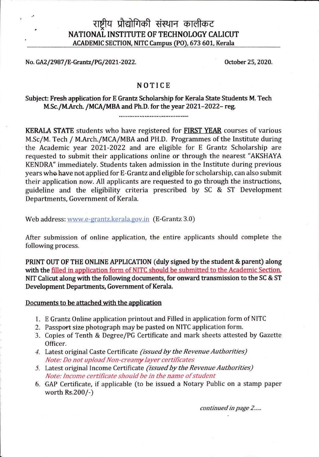## राष्टीय प्रौद्योगिकी संस्थान कालीकट NATIONAL INSTITUTE OF TECHNOLOGY CALICUT **ACADEMIC SECTION, NITC Campus (PO), 673 601, Kerala**

**No. GA2/2987/E-Grantz/PG/2021-2022. October 25, 2020.**

## **NOTICE**

## **Subject: Fresh application for E Grantz Scholarship for Kerala State Students M. Tech M.Sc./MArch. /MCA/MBA and Ph.D. for the year 2021-2022- reg.**

**KERALA STATE** students who have registered for **FIRST YEAR** courses of various M.Sc/M. Tech / M.Arch./MCA/MBA and PH.D. Programmes of the Institute during the Academic year 2021-2022 and are eligible for E Grantz Scholarship are requested to submit their applications online or through the nearest "AKSHAYA KENDRA" immediately. Students taken admission in the Institute during previous years whohave not applied for E-Grantz and eligible forscholarship, can also submit their application now. All applicants are requested to go through the instructions, guideline and the eligibility criteria prescribed by SC & ST Development Departments, Government of Kerala.

Web address: www.e-grantz.kerala.gov.in (E-Grantz 3.0)

After submission of online application, the entire applicants should complete the following process.

**PRINT OUT OF THE ONLINE APPLICATION (duly signed by the student & parent) along with the filled in application form of NITC should be submitted to the Academic Section, NIT Calicut along with the following documents, for onward transmission to the SC & ST Development Departments, Government of Kerala.** 

## **Documents to be attached with the application**

- **1**. <sup>E</sup> Grantz Online application printout and Filled in application form of NITC
- 2. Passport size photograph may be pasted on NITC application form.
- 3. Copies of Tenth & Degree/PG Certificate and mark sheets attested by Gazette Officer.
- *4.* Latest original Caste Certificate *(issued by the RevenueAuthorities) Note: Do not uploadNon-creamy layer certificates*
- 5. Latest original Income Certificate *(issued by the Revenue Authorities) Note:Income certificate should be in the name ofstudent*
- 6. GAP Certificate, if applicable (to be issued a Notary Public on a stamp paper worth Rs.200/-)

*continued in page 2.....*